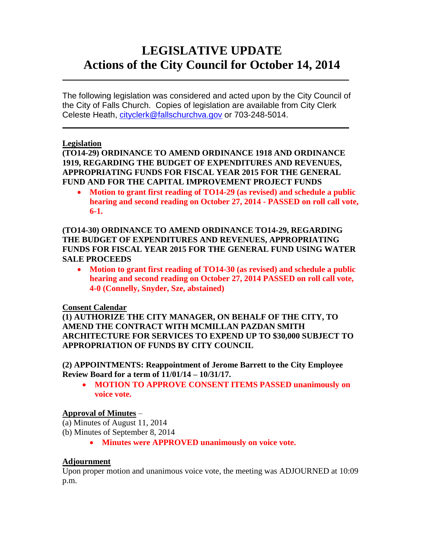## **LEGISLATIVE UPDATE Actions of the City Council for October 14, 2014**

The following legislation was considered and acted upon by the City Council of the City of Falls Church. Copies of legislation are available from City Clerk Celeste Heath, [cityclerk@fallschurchva.gov](mailto:cityclerk@fallschurchva.gov) or 703-248-5014.

 $\mathcal{L}_\mathcal{L} = \mathcal{L}_\mathcal{L} = \mathcal{L}_\mathcal{L} = \mathcal{L}_\mathcal{L} = \mathcal{L}_\mathcal{L} = \mathcal{L}_\mathcal{L} = \mathcal{L}_\mathcal{L} = \mathcal{L}_\mathcal{L} = \mathcal{L}_\mathcal{L} = \mathcal{L}_\mathcal{L} = \mathcal{L}_\mathcal{L} = \mathcal{L}_\mathcal{L} = \mathcal{L}_\mathcal{L} = \mathcal{L}_\mathcal{L} = \mathcal{L}_\mathcal{L} = \mathcal{L}_\mathcal{L} = \mathcal{L}_\mathcal{L}$ 

 $\mathcal{L}_\text{max} = \mathcal{L}_\text{max} = \mathcal{L}_\text{max} = \mathcal{L}_\text{max} = \mathcal{L}_\text{max} = \mathcal{L}_\text{max} = \mathcal{L}_\text{max} = \mathcal{L}_\text{max} = \mathcal{L}_\text{max} = \mathcal{L}_\text{max} = \mathcal{L}_\text{max} = \mathcal{L}_\text{max} = \mathcal{L}_\text{max} = \mathcal{L}_\text{max} = \mathcal{L}_\text{max} = \mathcal{L}_\text{max} = \mathcal{L}_\text{max} = \mathcal{L}_\text{max} = \mathcal{$ 

### **Legislation**

**(TO14-29) ORDINANCE TO AMEND ORDINANCE 1918 AND ORDINANCE 1919, REGARDING THE BUDGET OF EXPENDITURES AND REVENUES, APPROPRIATING FUNDS FOR FISCAL YEAR 2015 FOR THE GENERAL FUND AND FOR THE CAPITAL IMPROVEMENT PROJECT FUNDS**

 **Motion to grant first reading of TO14-29 (as revised) and schedule a public hearing and second reading on October 27, 2014 - PASSED on roll call vote, 6-1.**

**(TO14-30) ORDINANCE TO AMEND ORDINANCE TO14-29, REGARDING THE BUDGET OF EXPENDITURES AND REVENUES, APPROPRIATING FUNDS FOR FISCAL YEAR 2015 FOR THE GENERAL FUND USING WATER SALE PROCEEDS**

 **Motion to grant first reading of TO14-30 (as revised) and schedule a public hearing and second reading on October 27, 2014 PASSED on roll call vote, 4-0 (Connelly, Snyder, Sze, abstained)**

### **Consent Calendar**

**(1) AUTHORIZE THE CITY MANAGER, ON BEHALF OF THE CITY, TO AMEND THE CONTRACT WITH MCMILLAN PAZDAN SMITH ARCHITECTURE FOR SERVICES TO EXPEND UP TO \$30,000 SUBJECT TO APPROPRIATION OF FUNDS BY CITY COUNCIL**

**(2) APPOINTMENTS: Reappointment of Jerome Barrett to the City Employee Review Board for a term of 11/01/14 – 10/31/17.**

 **MOTION TO APPROVE CONSENT ITEMS PASSED unanimously on voice vote.** 

### **Approval of Minutes** –

- (a) Minutes of August 11, 2014
- (b) Minutes of September 8, 2014
	- **Minutes were APPROVED unanimously on voice vote.**

### **Adjournment**

Upon proper motion and unanimous voice vote, the meeting was ADJOURNED at 10:09 p.m.